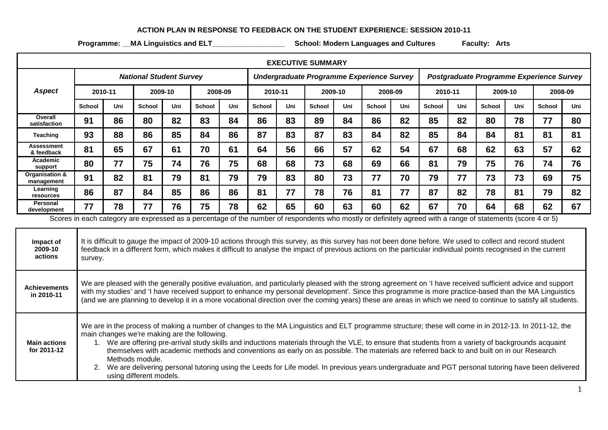## **ACTION PLAN IN RESPONSE TO FEEDBACK ON THE STUDENT EXPERIENCE: SESSION 2010-11**

**Programme: \_\_MA Linguistics and ELT\_\_\_\_\_\_\_\_\_\_\_\_\_\_\_\_\_\_ School: Modern Languages and Cultures Faculty: Arts**

| <b>EXECUTIVE SUMMARY</b>                                                                                                                                     |                                                                                                                                                                                                                                                                                                                                                                                                                                                                                                                                                                                                                                                                                                                     |         |         |     |               |                                           |               |     |         |     |                                          |     |               |     |         |     |               |     |
|--------------------------------------------------------------------------------------------------------------------------------------------------------------|---------------------------------------------------------------------------------------------------------------------------------------------------------------------------------------------------------------------------------------------------------------------------------------------------------------------------------------------------------------------------------------------------------------------------------------------------------------------------------------------------------------------------------------------------------------------------------------------------------------------------------------------------------------------------------------------------------------------|---------|---------|-----|---------------|-------------------------------------------|---------------|-----|---------|-----|------------------------------------------|-----|---------------|-----|---------|-----|---------------|-----|
|                                                                                                                                                              | <b>National Student Survey</b>                                                                                                                                                                                                                                                                                                                                                                                                                                                                                                                                                                                                                                                                                      |         |         |     |               | Undergraduate Programme Experience Survey |               |     |         |     | Postgraduate Programme Experience Survey |     |               |     |         |     |               |     |
| <b>Aspect</b>                                                                                                                                                |                                                                                                                                                                                                                                                                                                                                                                                                                                                                                                                                                                                                                                                                                                                     | 2010-11 | 2009-10 |     |               | 2008-09                                   | 2010-11       |     | 2009-10 |     | 2008-09                                  |     | 2010-11       |     | 2009-10 |     | 2008-09       |     |
|                                                                                                                                                              | School                                                                                                                                                                                                                                                                                                                                                                                                                                                                                                                                                                                                                                                                                                              | Uni     | School  | Uni | <b>School</b> | Uni                                       | <b>School</b> | Uni | School  | Uni | School                                   | Uni | <b>School</b> | Uni | School  | Uni | <b>School</b> | Uni |
| Overall<br>satisfaction                                                                                                                                      | 91                                                                                                                                                                                                                                                                                                                                                                                                                                                                                                                                                                                                                                                                                                                  | 86      | 80      | 82  | 83            | 84                                        | 86            | 83  | 89      | 84  | 86                                       | 82  | 85            | 82  | 80      | 78  | 77            | 80  |
| <b>Teaching</b>                                                                                                                                              | 93                                                                                                                                                                                                                                                                                                                                                                                                                                                                                                                                                                                                                                                                                                                  | 88      | 86      | 85  | 84            | 86                                        | 87            | 83  | 87      | 83  | 84                                       | 82  | 85            | 84  | 84      | 81  | 81            | 81  |
| <b>Assessment</b><br>& feedback                                                                                                                              | 81                                                                                                                                                                                                                                                                                                                                                                                                                                                                                                                                                                                                                                                                                                                  | 65      | 67      | 61  | 70            | 61                                        | 64            | 56  | 66      | 57  | 62                                       | 54  | 67            | 68  | 62      | 63  | 57            | 62  |
| Academic<br>support                                                                                                                                          | 80                                                                                                                                                                                                                                                                                                                                                                                                                                                                                                                                                                                                                                                                                                                  | 77      | 75      | 74  | 76            | 75                                        | 68            | 68  | 73      | 68  | 69                                       | 66  | 81            | 79  | 75      | 76  | 74            | 76  |
| Organisation &<br>management                                                                                                                                 | 91                                                                                                                                                                                                                                                                                                                                                                                                                                                                                                                                                                                                                                                                                                                  | 82      | 81      | 79  | 81            | 79                                        | 79            | 83  | 80      | 73  | 77                                       | 70  | 79            | 77  | 73      | 73  | 69            | 75  |
| Learning<br>resources                                                                                                                                        | 86                                                                                                                                                                                                                                                                                                                                                                                                                                                                                                                                                                                                                                                                                                                  | 87      | 84      | 85  | 86            | 86                                        | 81            | 77  | 78      | 76  | 81                                       | 77  | 87            | 82  | 78      | 81  | 79            | 82  |
| Personal<br>development                                                                                                                                      | 77                                                                                                                                                                                                                                                                                                                                                                                                                                                                                                                                                                                                                                                                                                                  | 78      | 77      | 76  | 75            | 78                                        | 62            | 65  | 60      | 63  | 60                                       | 62  | 67            | 70  | 64      | 68  | 62            | 67  |
| Scores in each category are expressed as a percentage of the number of respondents who mostly or definitely agreed with a range of statements (score 4 or 5) |                                                                                                                                                                                                                                                                                                                                                                                                                                                                                                                                                                                                                                                                                                                     |         |         |     |               |                                           |               |     |         |     |                                          |     |               |     |         |     |               |     |
| Impact of<br>2009-10<br>actions                                                                                                                              | It is difficult to gauge the impact of 2009-10 actions through this survey, as this survey has not been done before. We used to collect and record student<br>feedback in a different form, which makes it difficult to analyse the impact of previous actions on the particular individual points recognised in the current<br>survey.                                                                                                                                                                                                                                                                                                                                                                             |         |         |     |               |                                           |               |     |         |     |                                          |     |               |     |         |     |               |     |
| <b>Achievements</b><br>in 2010-11                                                                                                                            | We are pleased with the generally positive evaluation, and particularly pleased with the strong agreement on 'I have received sufficient advice and support<br>with my studies' and 'I have received support to enhance my personal development'. Since this programme is more practice-based than the MA Linguistics<br>(and we are planning to develop it in a more vocational direction over the coming years) these are areas in which we need to continue to satisfy all students.                                                                                                                                                                                                                             |         |         |     |               |                                           |               |     |         |     |                                          |     |               |     |         |     |               |     |
| <b>Main actions</b><br>for 2011-12                                                                                                                           | We are in the process of making a number of changes to the MA Linguistics and ELT programme structure; these will come in in 2012-13. In 2011-12, the<br>main changes we're making are the following.<br>1. We are offering pre-arrival study skills and inductions materials through the VLE, to ensure that students from a variety of backgrounds acquaint<br>themselves with academic methods and conventions as early on as possible. The materials are referred back to and built on in our Research<br>Methods module.<br>We are delivering personal tutoring using the Leeds for Life model. In previous years undergraduate and PGT personal tutoring have been delivered<br>2.<br>using different models. |         |         |     |               |                                           |               |     |         |     |                                          |     |               |     |         |     |               |     |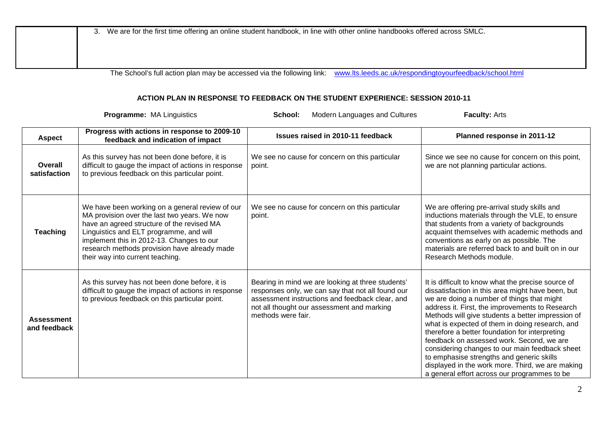| 3. We are for the first time offering an online student handbook, in line with other online handbooks offered across SMLC. |
|----------------------------------------------------------------------------------------------------------------------------|
|                                                                                                                            |
|                                                                                                                            |

The School's full action plan may be accessed via the following link: [www.lts.leeds.ac.uk/respondingtoyourfeedback/school.html](http://www.lts.leeds.ac.uk/respondingtoyourfeedback/school.html)

## **ACTION PLAN IN RESPONSE TO FEEDBACK ON THE STUDENT EXPERIENCE: SESSION 2010-11**

**Programme:** MA Linguistics **School:** Modern Languages and Cultures **Faculty:** Arts

| <b>Aspect</b>                     | Progress with actions in response to 2009-10<br>feedback and indication of impact                                                                                                                                                                                                                                         | Issues raised in 2010-11 feedback                                                                                                                                                                                             | Planned response in 2011-12                                                                                                                                                                                                                                                                                                                                                                                                                                                                                                                                                                                        |
|-----------------------------------|---------------------------------------------------------------------------------------------------------------------------------------------------------------------------------------------------------------------------------------------------------------------------------------------------------------------------|-------------------------------------------------------------------------------------------------------------------------------------------------------------------------------------------------------------------------------|--------------------------------------------------------------------------------------------------------------------------------------------------------------------------------------------------------------------------------------------------------------------------------------------------------------------------------------------------------------------------------------------------------------------------------------------------------------------------------------------------------------------------------------------------------------------------------------------------------------------|
| Overall<br>satisfaction           | As this survey has not been done before, it is<br>difficult to gauge the impact of actions in response<br>to previous feedback on this particular point.                                                                                                                                                                  | We see no cause for concern on this particular<br>point.                                                                                                                                                                      | Since we see no cause for concern on this point,<br>we are not planning particular actions.                                                                                                                                                                                                                                                                                                                                                                                                                                                                                                                        |
| <b>Teaching</b>                   | We have been working on a general review of our<br>MA provision over the last two years. We now<br>have an agreed structure of the revised MA<br>Linguistics and ELT programme, and will<br>implement this in 2012-13. Changes to our<br>research methods provision have already made<br>their way into current teaching. | We see no cause for concern on this particular<br>point.                                                                                                                                                                      | We are offering pre-arrival study skills and<br>inductions materials through the VLE, to ensure<br>that students from a variety of backgrounds<br>acquaint themselves with academic methods and<br>conventions as early on as possible. The<br>materials are referred back to and built on in our<br>Research Methods module.                                                                                                                                                                                                                                                                                      |
| <b>Assessment</b><br>and feedback | As this survey has not been done before, it is<br>difficult to gauge the impact of actions in response<br>to previous feedback on this particular point.                                                                                                                                                                  | Bearing in mind we are looking at three students'<br>responses only, we can say that not all found our<br>assessment instructions and feedback clear, and<br>not all thought our assessment and marking<br>methods were fair. | It is difficult to know what the precise source of<br>dissatisfaction in this area might have been, but<br>we are doing a number of things that might<br>address it. First, the improvements to Research<br>Methods will give students a better impression of<br>what is expected of them in doing research, and<br>therefore a better foundation for interpreting<br>feedback on assessed work. Second, we are<br>considering changes to our main feedback sheet<br>to emphasise strengths and generic skills<br>displayed in the work more. Third, we are making<br>a general effort across our programmes to be |